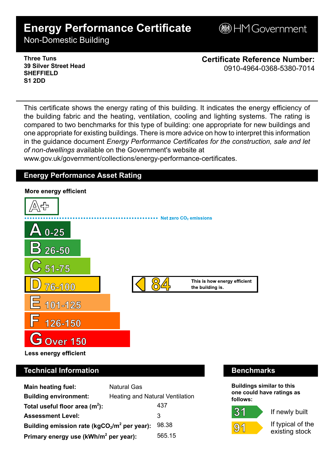# **Energy Performance Certificate**

**BHM Government** 

Non-Domestic Building

### **Three Tuns 39 Silver Street Head SHEFFIELD S1 2DD**

**Certificate Reference Number:** 0910-4964-0368-5380-7014

This certificate shows the energy rating of this building. It indicates the energy efficiency of the building fabric and the heating, ventilation, cooling and lighting systems. The rating is compared to two benchmarks for this type of building: one appropriate for new buildings and one appropriate for existing buildings. There is more advice on how to interpret this information in the guidance document *Energy Performance Certificates for the construction, sale and let of non-dwellings* available on the Government's website at

www.gov.uk/government/collections/energy-performance-certificates.

# **Energy Performance Asset Rating**



# **Technical Information Benchmarks**

| <b>Main heating fuel:</b>                         | <b>Natural Gas</b>                     |        |
|---------------------------------------------------|----------------------------------------|--------|
| <b>Building environment:</b>                      | <b>Heating and Natural Ventilation</b> |        |
| Total useful floor area $(m2)$ :                  |                                        | 437    |
| <b>Assessment Level:</b>                          |                                        | 3      |
| Building emission rate ( $kgCO2/m2$ per year):    |                                        | 98.38  |
| Primary energy use (kWh/m <sup>2</sup> per year): |                                        | 565.15 |

**Buildings similar to this one could have ratings as follows:**

If newly built



 $31$ 

If typical of the existing stock